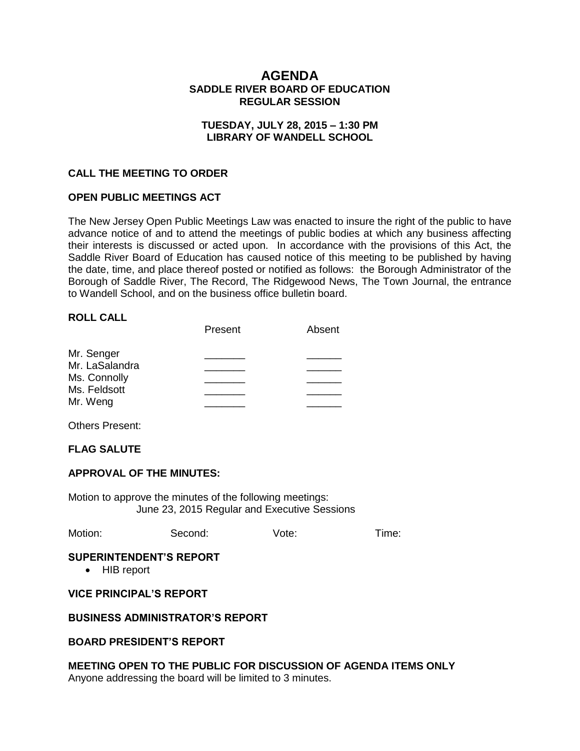# **AGENDA SADDLE RIVER BOARD OF EDUCATION REGULAR SESSION**

### **TUESDAY, JULY 28, 2015 – 1:30 PM LIBRARY OF WANDELL SCHOOL**

#### **CALL THE MEETING TO ORDER**

### **OPEN PUBLIC MEETINGS ACT**

The New Jersey Open Public Meetings Law was enacted to insure the right of the public to have advance notice of and to attend the meetings of public bodies at which any business affecting their interests is discussed or acted upon. In accordance with the provisions of this Act, the Saddle River Board of Education has caused notice of this meeting to be published by having the date, time, and place thereof posted or notified as follows: the Borough Administrator of the Borough of Saddle River, The Record, The Ridgewood News, The Town Journal, the entrance to Wandell School, and on the business office bulletin board.

#### **ROLL CALL**

|                | Present | Absent |
|----------------|---------|--------|
| Mr. Senger     |         |        |
| Mr. LaSalandra |         |        |
| Ms. Connolly   |         |        |
| Ms. Feldsott   |         |        |
| Mr. Weng       |         |        |

Others Present:

### **FLAG SALUTE**

#### **APPROVAL OF THE MINUTES:**

Motion to approve the minutes of the following meetings: June 23, 2015 Regular and Executive Sessions

| Motion: | Second: | Vote: | Time: |
|---------|---------|-------|-------|
|         |         |       |       |

#### **SUPERINTENDENT'S REPORT**

• HIB report

### **VICE PRINCIPAL'S REPORT**

#### **BUSINESS ADMINISTRATOR'S REPORT**

#### **BOARD PRESIDENT'S REPORT**

# **MEETING OPEN TO THE PUBLIC FOR DISCUSSION OF AGENDA ITEMS ONLY**

Anyone addressing the board will be limited to 3 minutes.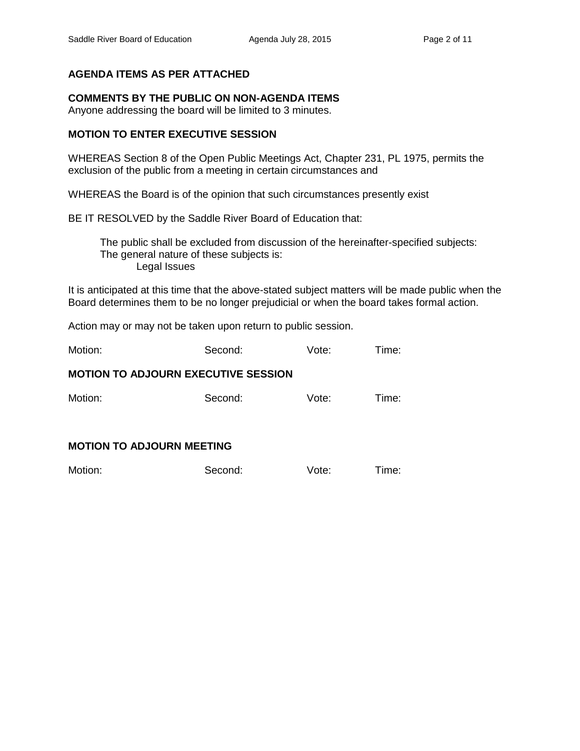# **AGENDA ITEMS AS PER ATTACHED**

### **COMMENTS BY THE PUBLIC ON NON-AGENDA ITEMS**

Anyone addressing the board will be limited to 3 minutes.

### **MOTION TO ENTER EXECUTIVE SESSION**

WHEREAS Section 8 of the Open Public Meetings Act, Chapter 231, PL 1975, permits the exclusion of the public from a meeting in certain circumstances and

WHEREAS the Board is of the opinion that such circumstances presently exist

BE IT RESOLVED by the Saddle River Board of Education that:

 The public shall be excluded from discussion of the hereinafter-specified subjects: The general nature of these subjects is: Legal Issues

It is anticipated at this time that the above-stated subject matters will be made public when the Board determines them to be no longer prejudicial or when the board takes formal action.

Action may or may not be taken upon return to public session.

Motion: Second: Vote: Time:

### **MOTION TO ADJOURN EXECUTIVE SESSION**

Motion: Second: Vote: Time:

### **MOTION TO ADJOURN MEETING**

| Motion: | Second: | Vote: | Time: |
|---------|---------|-------|-------|
|         |         |       |       |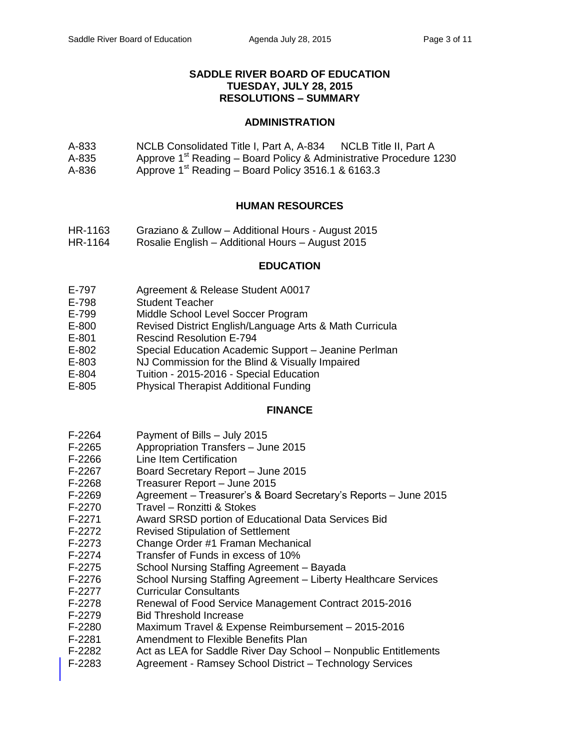### **SADDLE RIVER BOARD OF EDUCATION TUESDAY, JULY 28, 2015 RESOLUTIONS – SUMMARY**

### **ADMINISTRATION**

- A-833 NCLB Consolidated Title I, Part A, A-834 NCLB Title II, Part A
- A-835 Approve  $1<sup>st</sup>$  Reading Board Policy & Administrative Procedure 1230
- A-836 Approve  $1<sup>st</sup>$  Reading Board Policy 3516.1 & 6163.3

# **HUMAN RESOURCES**

- HR-1163 Graziano & Zullow Additional Hours August 2015
- HR-1164 Rosalie English Additional Hours August 2015

### **EDUCATION**

- E-797 Agreement & Release Student A0017
- E-798 Student Teacher
- E-799 Middle School Level Soccer Program
- E-800 Revised District English/Language Arts & Math Curricula
- E-801 Rescind Resolution E-794
- E-802 Special Education Academic Support Jeanine Perlman
- E-803 NJ Commission for the Blind & Visually Impaired
- E-804 Tuition 2015-2016 Special Education
- E-805 Physical Therapist Additional Funding

#### **FINANCE**

- F-2264 Payment of Bills July 2015
- F-2265 Appropriation Transfers June 2015
- F-2266 Line Item Certification
- F-2267 Board Secretary Report June 2015
- F-2268 Treasurer Report June 2015
- F-2269 Agreement Treasurer's & Board Secretary's Reports June 2015
- F-2270 Travel Ronzitti & Stokes
- F-2271 Award SRSD portion of Educational Data Services Bid
- F-2272 Revised Stipulation of Settlement
- F-2273 Change Order #1 Framan Mechanical
- F-2274 Transfer of Funds in excess of 10%
- F-2275 School Nursing Staffing Agreement Bayada
- F-2276 School Nursing Staffing Agreement Liberty Healthcare Services
- F-2277 Curricular Consultants
- F-2278 Renewal of Food Service Management Contract 2015-2016
- F-2279 Bid Threshold Increase
- F-2280 Maximum Travel & Expense Reimbursement 2015-2016
- F-2281 Amendment to Flexible Benefits Plan
- F-2282 Act as LEA for Saddle River Day School Nonpublic Entitlements
- F-2283 Agreement Ramsey School District Technology Services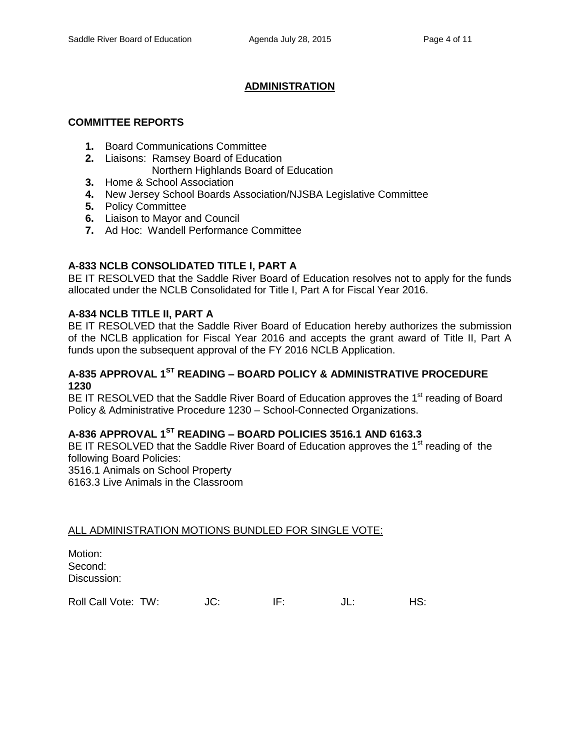# **ADMINISTRATION**

### **COMMITTEE REPORTS**

- **1.** Board Communications Committee
- **2.** Liaisons: Ramsey Board of Education
	- Northern Highlands Board of Education
- **3.** Home & School Association
- **4.** New Jersey School Boards Association/NJSBA Legislative Committee
- **5.** Policy Committee
- **6.** Liaison to Mayor and Council
- **7.** Ad Hoc: Wandell Performance Committee

# **A-833 NCLB CONSOLIDATED TITLE I, PART A**

BE IT RESOLVED that the Saddle River Board of Education resolves not to apply for the funds allocated under the NCLB Consolidated for Title I, Part A for Fiscal Year 2016.

# **A-834 NCLB TITLE II, PART A**

BE IT RESOLVED that the Saddle River Board of Education hereby authorizes the submission of the NCLB application for Fiscal Year 2016 and accepts the grant award of Title II, Part A funds upon the subsequent approval of the FY 2016 NCLB Application.

# **A-835 APPROVAL 1ST READING – BOARD POLICY & ADMINISTRATIVE PROCEDURE 1230**

BE IT RESOLVED that the Saddle River Board of Education approves the 1<sup>st</sup> reading of Board Policy & Administrative Procedure 1230 – School-Connected Organizations.

# **A-836 APPROVAL 1ST READING – BOARD POLICIES 3516.1 AND 6163.3**

BE IT RESOLVED that the Saddle River Board of Education approves the 1<sup>st</sup> reading of the following Board Policies: 3516.1 Animals on School Property 6163.3 Live Animals in the Classroom

#### ALL ADMINISTRATION MOTIONS BUNDLED FOR SINGLE VOTE:

| Motion:     |
|-------------|
| Second:     |
| Discussion: |

| Roll Call Vote: TW: | JU. |  | JL. | HS: |
|---------------------|-----|--|-----|-----|
|---------------------|-----|--|-----|-----|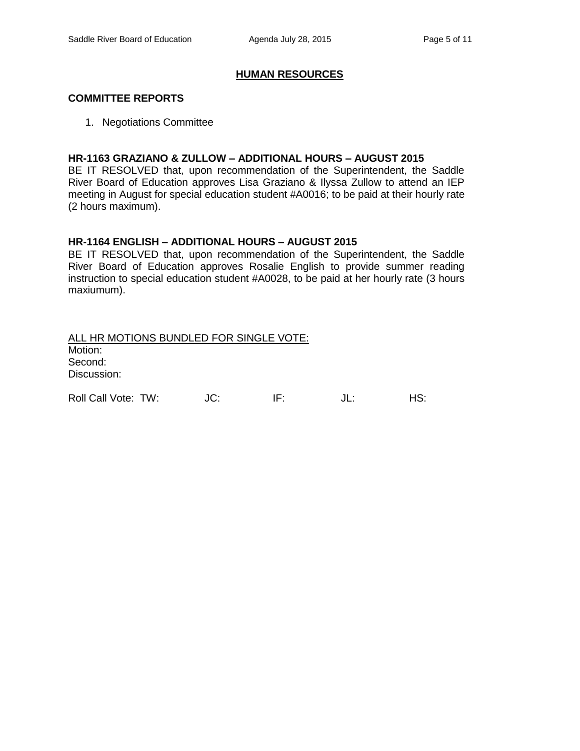### **HUMAN RESOURCES**

#### **COMMITTEE REPORTS**

1. Negotiations Committee

### **HR-1163 GRAZIANO & ZULLOW – ADDITIONAL HOURS – AUGUST 2015**

BE IT RESOLVED that, upon recommendation of the Superintendent, the Saddle River Board of Education approves Lisa Graziano & Ilyssa Zullow to attend an IEP meeting in August for special education student #A0016; to be paid at their hourly rate (2 hours maximum).

### **HR-1164 ENGLISH – ADDITIONAL HOURS – AUGUST 2015**

BE IT RESOLVED that, upon recommendation of the Superintendent, the Saddle River Board of Education approves Rosalie English to provide summer reading instruction to special education student #A0028, to be paid at her hourly rate (3 hours maxiumum).

| ALL HR MOTIONS BUNDLED FOR SINGLE VOTE: |     |     |    |     |
|-----------------------------------------|-----|-----|----|-----|
| Motion:                                 |     |     |    |     |
| Second:                                 |     |     |    |     |
| Discussion:                             |     |     |    |     |
|                                         |     |     |    |     |
| Roll Call Vote: TW:                     | JC: | IF. | JĿ | HS. |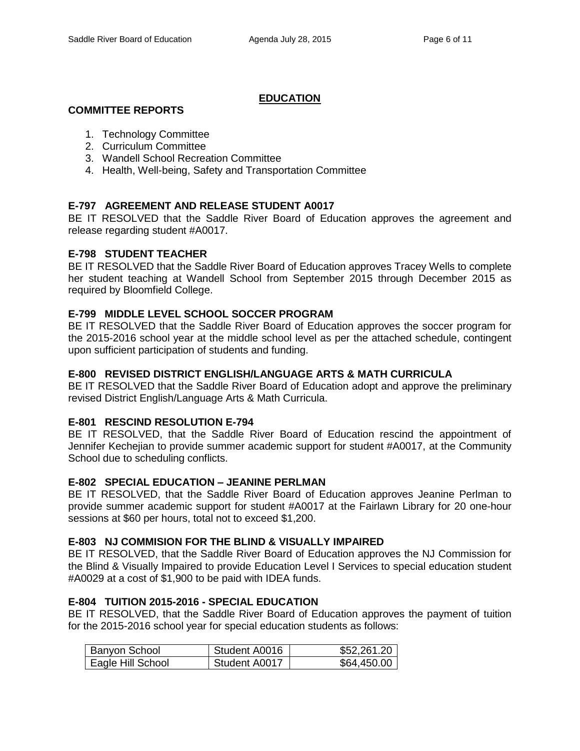# **EDUCATION**

### **COMMITTEE REPORTS**

- 1. Technology Committee
- 2. Curriculum Committee
- 3. Wandell School Recreation Committee
- 4. Health, Well-being, Safety and Transportation Committee

# **E-797 AGREEMENT AND RELEASE STUDENT A0017**

BE IT RESOLVED that the Saddle River Board of Education approves the agreement and release regarding student #A0017.

### **E-798 STUDENT TEACHER**

BE IT RESOLVED that the Saddle River Board of Education approves Tracey Wells to complete her student teaching at Wandell School from September 2015 through December 2015 as required by Bloomfield College.

### **E-799 MIDDLE LEVEL SCHOOL SOCCER PROGRAM**

BE IT RESOLVED that the Saddle River Board of Education approves the soccer program for the 2015-2016 school year at the middle school level as per the attached schedule, contingent upon sufficient participation of students and funding.

### **E-800 REVISED DISTRICT ENGLISH/LANGUAGE ARTS & MATH CURRICULA**

BE IT RESOLVED that the Saddle River Board of Education adopt and approve the preliminary revised District English/Language Arts & Math Curricula.

## **E-801 RESCIND RESOLUTION E-794**

BE IT RESOLVED, that the Saddle River Board of Education rescind the appointment of Jennifer Kechejian to provide summer academic support for student #A0017, at the Community School due to scheduling conflicts.

#### **E-802 SPECIAL EDUCATION – JEANINE PERLMAN**

BE IT RESOLVED, that the Saddle River Board of Education approves Jeanine Perlman to provide summer academic support for student #A0017 at the Fairlawn Library for 20 one-hour sessions at \$60 per hours, total not to exceed \$1,200.

#### **E-803 NJ COMMISION FOR THE BLIND & VISUALLY IMPAIRED**

BE IT RESOLVED, that the Saddle River Board of Education approves the NJ Commission for the Blind & Visually Impaired to provide Education Level I Services to special education student #A0029 at a cost of \$1,900 to be paid with IDEA funds.

# **E-804 TUITION 2015-2016 - SPECIAL EDUCATION**

BE IT RESOLVED, that the Saddle River Board of Education approves the payment of tuition for the 2015-2016 school year for special education students as follows:

| Banyon School     | Student A0016 | \$52,261.20 |
|-------------------|---------------|-------------|
| Eagle Hill School | Student A0017 | \$64,450.00 |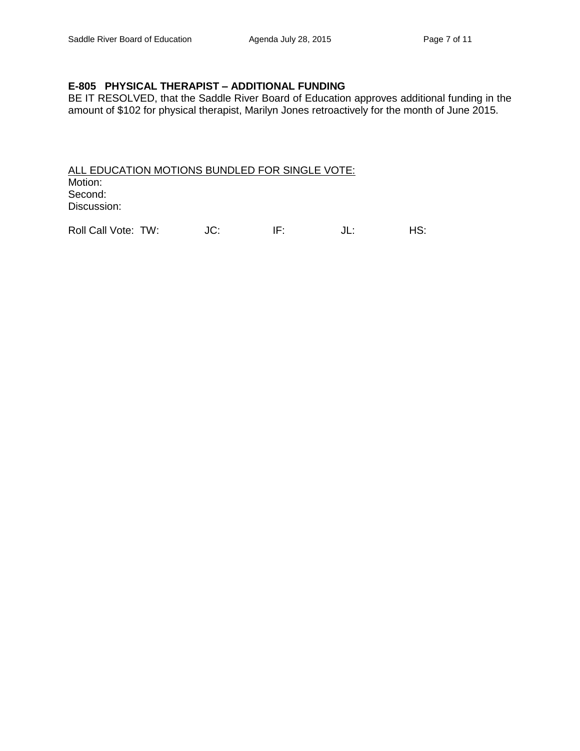# **E-805 PHYSICAL THERAPIST – ADDITIONAL FUNDING**

BE IT RESOLVED, that the Saddle River Board of Education approves additional funding in the amount of \$102 for physical therapist, Marilyn Jones retroactively for the month of June 2015.

ALL EDUCATION MOTIONS BUNDLED FOR SINGLE VOTE: Motion: Second: Discussion:

Roll Call Vote: TW: JC: IF: JL: HS: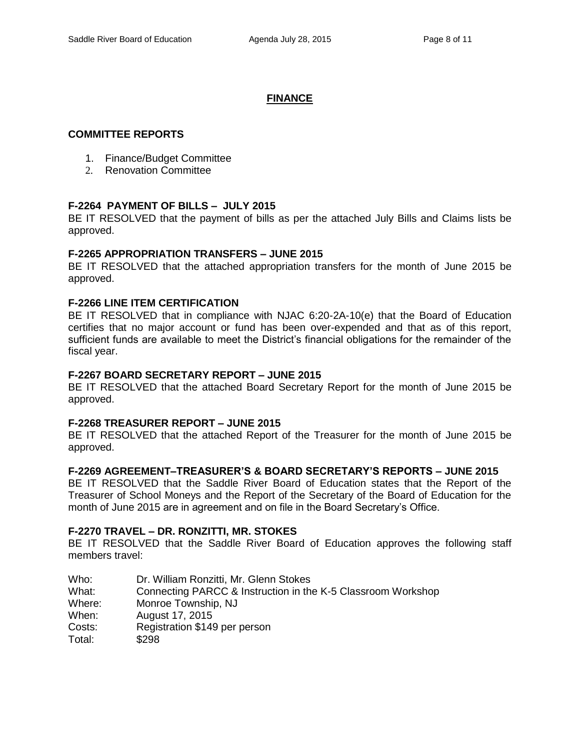### **FINANCE**

### **COMMITTEE REPORTS**

- 1. Finance/Budget Committee
- 2. Renovation Committee

# **F-2264 PAYMENT OF BILLS – JULY 2015**

BE IT RESOLVED that the payment of bills as per the attached July Bills and Claims lists be approved.

#### **F-2265 APPROPRIATION TRANSFERS – JUNE 2015**

BE IT RESOLVED that the attached appropriation transfers for the month of June 2015 be approved.

# **F-2266 LINE ITEM CERTIFICATION**

BE IT RESOLVED that in compliance with NJAC 6:20-2A-10(e) that the Board of Education certifies that no major account or fund has been over-expended and that as of this report, sufficient funds are available to meet the District's financial obligations for the remainder of the fiscal year.

#### **F-2267 BOARD SECRETARY REPORT – JUNE 2015**

BE IT RESOLVED that the attached Board Secretary Report for the month of June 2015 be approved.

### **F-2268 TREASURER REPORT – JUNE 2015**

BE IT RESOLVED that the attached Report of the Treasurer for the month of June 2015 be approved.

#### **F-2269 AGREEMENT–TREASURER'S & BOARD SECRETARY'S REPORTS – JUNE 2015**

BE IT RESOLVED that the Saddle River Board of Education states that the Report of the Treasurer of School Moneys and the Report of the Secretary of the Board of Education for the month of June 2015 are in agreement and on file in the Board Secretary's Office.

#### **F-2270 TRAVEL – DR. RONZITTI, MR. STOKES**

BE IT RESOLVED that the Saddle River Board of Education approves the following staff members travel:

| Who:   | Dr. William Ronzitti, Mr. Glenn Stokes                       |
|--------|--------------------------------------------------------------|
| What:  | Connecting PARCC & Instruction in the K-5 Classroom Workshop |
| Where: | Monroe Township, NJ                                          |
| When:  | August 17, 2015                                              |
| Costs: | Registration \$149 per person                                |
| Total: | \$298                                                        |
|        |                                                              |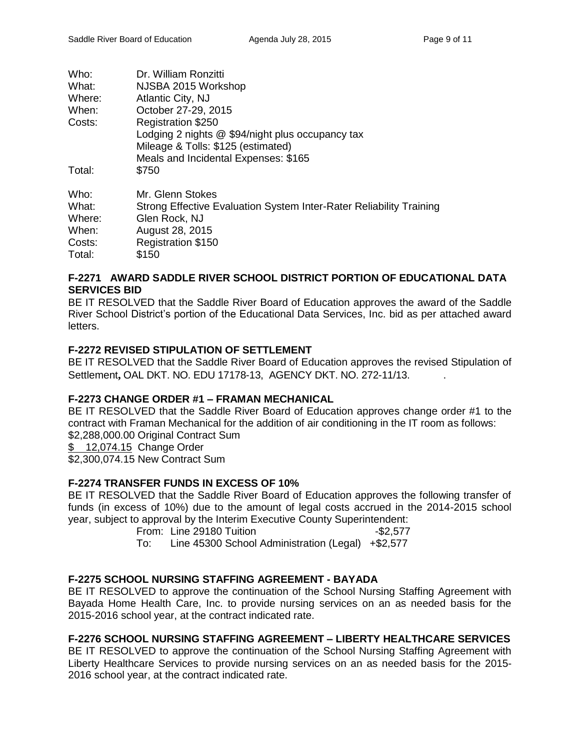| Who:   | Dr. William Ronzitti                                                |
|--------|---------------------------------------------------------------------|
| What:  | NJSBA 2015 Workshop                                                 |
| Where: | Atlantic City, NJ                                                   |
| When:  | October 27-29, 2015                                                 |
| Costs: | <b>Registration \$250</b>                                           |
|        | Lodging 2 nights @ \$94/night plus occupancy tax                    |
|        | Mileage & Tolls: \$125 (estimated)                                  |
|        | Meals and Incidental Expenses: \$165                                |
| Total: | \$750                                                               |
| Who:   | Mr. Glenn Stokes                                                    |
| What:  | Strong Effective Evaluation System Inter-Rater Reliability Training |
| Where: | Glen Rock, NJ                                                       |
| When:  | August 28, 2015                                                     |
| Costs: | Registration \$150                                                  |
| Total: | \$150                                                               |
|        |                                                                     |

# **F-2271 AWARD SADDLE RIVER SCHOOL DISTRICT PORTION OF EDUCATIONAL DATA SERVICES BID**

BE IT RESOLVED that the Saddle River Board of Education approves the award of the Saddle River School District's portion of the Educational Data Services, Inc. bid as per attached award letters.

# **F-2272 REVISED STIPULATION OF SETTLEMENT**

BE IT RESOLVED that the Saddle River Board of Education approves the revised Stipulation of Settlement**,** OAL DKT. NO. EDU 17178-13, AGENCY DKT. NO. 272-11/13. .

# **F-2273 CHANGE ORDER #1 – FRAMAN MECHANICAL**

BE IT RESOLVED that the Saddle River Board of Education approves change order #1 to the contract with Framan Mechanical for the addition of air conditioning in the IT room as follows: \$2,288,000,00 Original Contract Sum

\$ 12,074.15 Change Order

\$2,300,074.15 New Contract Sum

# **F-2274 TRANSFER FUNDS IN EXCESS OF 10%**

BE IT RESOLVED that the Saddle River Board of Education approves the following transfer of funds (in excess of 10%) due to the amount of legal costs accrued in the 2014-2015 school year, subject to approval by the Interim Executive County Superintendent:

From: Line 29180 Tuition - \$2,577

To: Line 45300 School Administration (Legal) +\$2,577

# **F-2275 SCHOOL NURSING STAFFING AGREEMENT - BAYADA**

BE IT RESOLVED to approve the continuation of the School Nursing Staffing Agreement with Bayada Home Health Care, Inc. to provide nursing services on an as needed basis for the 2015-2016 school year, at the contract indicated rate.

# **F-2276 SCHOOL NURSING STAFFING AGREEMENT – LIBERTY HEALTHCARE SERVICES**

BE IT RESOLVED to approve the continuation of the School Nursing Staffing Agreement with Liberty Healthcare Services to provide nursing services on an as needed basis for the 2015- 2016 school year, at the contract indicated rate.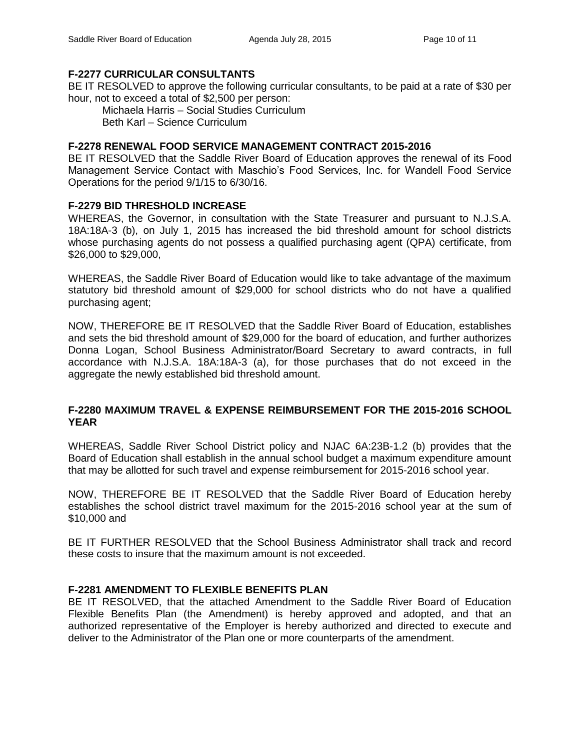# **F-2277 CURRICULAR CONSULTANTS**

BE IT RESOLVED to approve the following curricular consultants, to be paid at a rate of \$30 per hour, not to exceed a total of \$2,500 per person:

Michaela Harris – Social Studies Curriculum Beth Karl – Science Curriculum

# **F-2278 RENEWAL FOOD SERVICE MANAGEMENT CONTRACT 2015-2016**

BE IT RESOLVED that the Saddle River Board of Education approves the renewal of its Food Management Service Contact with Maschio's Food Services, Inc. for Wandell Food Service Operations for the period 9/1/15 to 6/30/16.

# **F-2279 BID THRESHOLD INCREASE**

WHEREAS, the Governor, in consultation with the State Treasurer and pursuant to N.J.S.A. 18A:18A-3 (b), on July 1, 2015 has increased the bid threshold amount for school districts whose purchasing agents do not possess a qualified purchasing agent (QPA) certificate, from \$26,000 to \$29,000,

WHEREAS, the Saddle River Board of Education would like to take advantage of the maximum statutory bid threshold amount of \$29,000 for school districts who do not have a qualified purchasing agent;

NOW, THEREFORE BE IT RESOLVED that the Saddle River Board of Education, establishes and sets the bid threshold amount of \$29,000 for the board of education, and further authorizes Donna Logan, School Business Administrator/Board Secretary to award contracts, in full accordance with N.J.S.A. 18A:18A-3 (a), for those purchases that do not exceed in the aggregate the newly established bid threshold amount.

# **F-2280 MAXIMUM TRAVEL & EXPENSE REIMBURSEMENT FOR THE 2015-2016 SCHOOL YEAR**

WHEREAS, Saddle River School District policy and NJAC 6A:23B-1.2 (b) provides that the Board of Education shall establish in the annual school budget a maximum expenditure amount that may be allotted for such travel and expense reimbursement for 2015-2016 school year.

NOW, THEREFORE BE IT RESOLVED that the Saddle River Board of Education hereby establishes the school district travel maximum for the 2015-2016 school year at the sum of \$10,000 and

BE IT FURTHER RESOLVED that the School Business Administrator shall track and record these costs to insure that the maximum amount is not exceeded.

# **F-2281 AMENDMENT TO FLEXIBLE BENEFITS PLAN**

BE IT RESOLVED, that the attached Amendment to the Saddle River Board of Education Flexible Benefits Plan (the Amendment) is hereby approved and adopted, and that an authorized representative of the Employer is hereby authorized and directed to execute and deliver to the Administrator of the Plan one or more counterparts of the amendment.